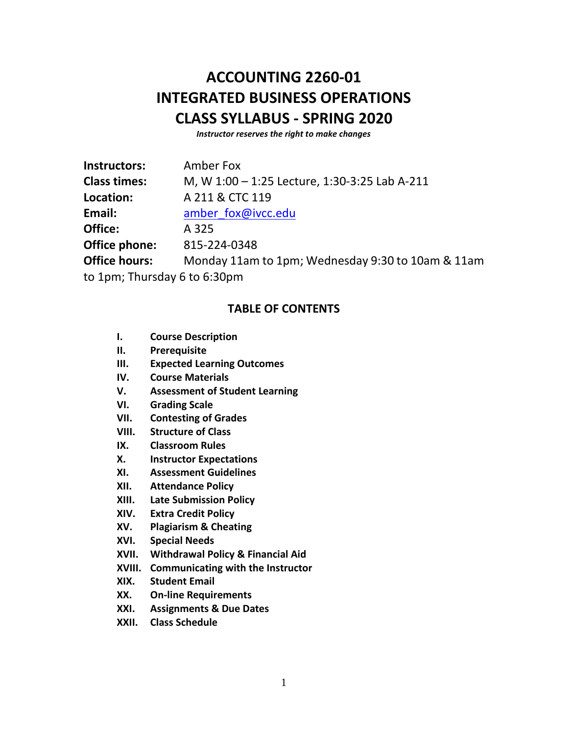# **ACCOUNTING 2260-01 INTEGRATED BUSINESS OPERATIONS CLASS SYLLABUS - SPRING 2020**

*Instructor reserves the right to make changes* 

| Amber Fox                                         |
|---------------------------------------------------|
| M, W 1:00 - 1:25 Lecture, 1:30-3:25 Lab A-211     |
| A 211 & CTC 119                                   |
| amber fox@ivcc.edu                                |
| A 325                                             |
| 815-224-0348                                      |
| Monday 11am to 1pm; Wednesday 9:30 to 10am & 11am |
| to 1pm; Thursday 6 to 6:30pm                      |
|                                                   |

## **TABLE OF CONTENTS**

- **I. Course Description**
- **II. Prerequisite**
- **III. Expected Learning Outcomes**
- **IV. Course Materials**
- **V. Assessment of Student Learning**
- **VI. Grading Scale**
- **VII. Contesting of Grades**
- **VIII. Structure of Class**
- **IX. Classroom Rules**
- **X. Instructor Expectations**
- **XI. Assessment Guidelines**
- **XII. Attendance Policy**
- **XIII. Late Submission Policy**
- **XIV. Extra Credit Policy**
- **XV. Plagiarism & Cheating**
- **XVI. Special Needs**
- **XVII. Withdrawal Policy & Financial Aid**
- **XVIII. Communicating with the Instructor**
- **XIX. Student Email**
- **XX. On-line Requirements**
- **XXI. Assignments & Due Dates**
- **XXII. Class Schedule**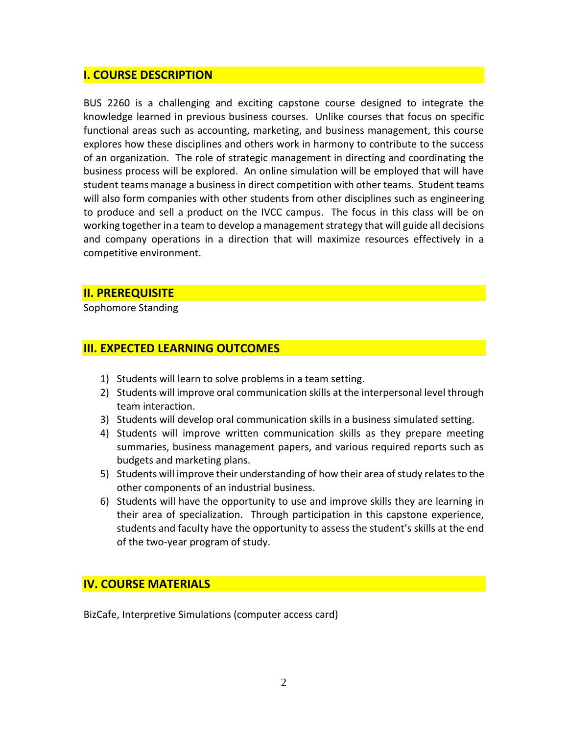## **I. COURSE DESCRIPTION**

BUS 2260 is a challenging and exciting capstone course designed to integrate the knowledge learned in previous business courses. Unlike courses that focus on specific functional areas such as accounting, marketing, and business management, this course explores how these disciplines and others work in harmony to contribute to the success of an organization. The role of strategic management in directing and coordinating the business process will be explored. An online simulation will be employed that will have student teams manage a business in direct competition with other teams. Student teams will also form companies with other students from other disciplines such as engineering to produce and sell a product on the IVCC campus. The focus in this class will be on working together in a team to develop a management strategy that will guide all decisions and company operations in a direction that will maximize resources effectively in a competitive environment.

## **II. PREREQUISITE**

Sophomore Standing

## **III. EXPECTED LEARNING OUTCOMES**

- 1) Students will learn to solve problems in a team setting.
- 2) Students will improve oral communication skills at the interpersonal level through team interaction.
- 3) Students will develop oral communication skills in a business simulated setting.
- 4) Students will improve written communication skills as they prepare meeting summaries, business management papers, and various required reports such as budgets and marketing plans.
- 5) Students will improve their understanding of how their area of study relates to the other components of an industrial business.
- 6) Students will have the opportunity to use and improve skills they are learning in their area of specialization. Through participation in this capstone experience, students and faculty have the opportunity to assess the student's skills at the end of the two-year program of study.

## **IV. COURSE MATERIALS**

BizCafe, Interpretive Simulations (computer access card)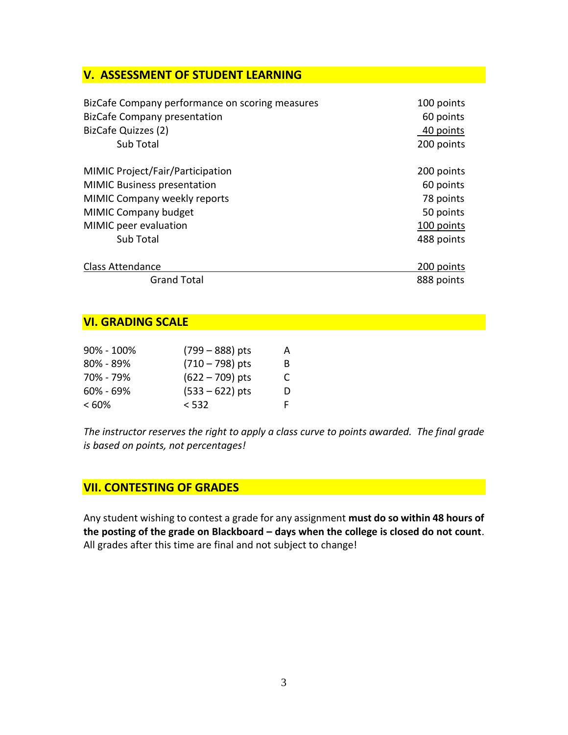## **V. ASSESSMENT OF STUDENT LEARNING**

| BizCafe Company performance on scoring measures | 100 points |
|-------------------------------------------------|------------|
| <b>BizCafe Company presentation</b>             | 60 points  |
| BizCafe Quizzes (2)                             | 40 points  |
| Sub Total                                       | 200 points |
| MIMIC Project/Fair/Participation                | 200 points |
| <b>MIMIC Business presentation</b>              | 60 points  |
| MIMIC Company weekly reports                    | 78 points  |
| <b>MIMIC Company budget</b>                     | 50 points  |
| MIMIC peer evaluation                           | 100 points |
| Sub Total                                       | 488 points |
| <b>Class Attendance</b>                         | 200 points |
| <b>Grand Total</b>                              | 888 points |

## **VI. GRADING SCALE**

| 90% - 100% | $(799 - 888)$ pts | А  |
|------------|-------------------|----|
| 80% - 89%  | $(710 - 798)$ pts | B  |
| 70% - 79%  | $(622 - 709)$ pts | C  |
| 60% - 69%  | $(533 - 622)$ pts | D  |
| $<60\%$    | < 532             | Е. |

*The instructor reserves the right to apply a class curve to points awarded. The final grade is based on points, not percentages!*

## **VII. CONTESTING OF GRADES**

Any student wishing to contest a grade for any assignment **must do so within 48 hours of the posting of the grade on Blackboard – days when the college is closed do not count**. All grades after this time are final and not subject to change!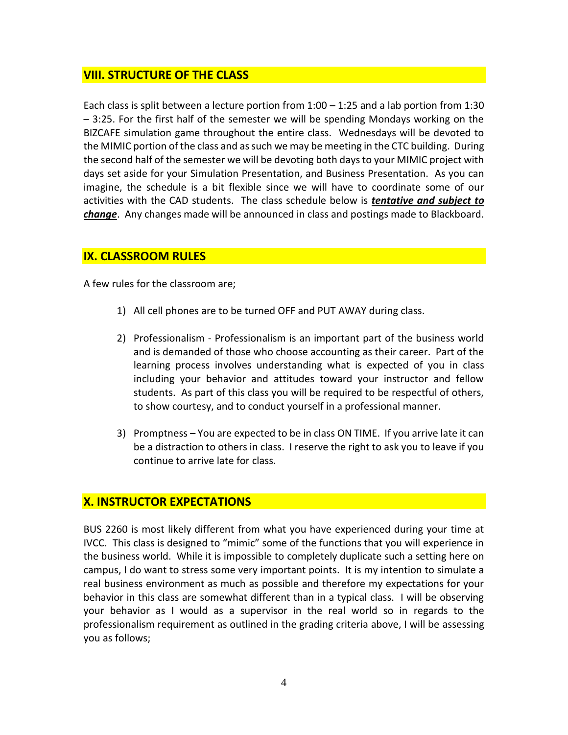## **VIII. STRUCTURE OF THE CLASS**

Each class is split between a lecture portion from 1:00 – 1:25 and a lab portion from 1:30 – 3:25. For the first half of the semester we will be spending Mondays working on the BIZCAFE simulation game throughout the entire class. Wednesdays will be devoted to the MIMIC portion of the class and as such we may be meeting in the CTC building. During the second half of the semester we will be devoting both days to your MIMIC project with days set aside for your Simulation Presentation, and Business Presentation. As you can imagine, the schedule is a bit flexible since we will have to coordinate some of our activities with the CAD students. The class schedule below is *tentative and subject to change*. Any changes made will be announced in class and postings made to Blackboard.

## **IX. CLASSROOM RULES**

A few rules for the classroom are;

- 1) All cell phones are to be turned OFF and PUT AWAY during class.
- 2) Professionalism Professionalism is an important part of the business world and is demanded of those who choose accounting as their career. Part of the learning process involves understanding what is expected of you in class including your behavior and attitudes toward your instructor and fellow students. As part of this class you will be required to be respectful of others, to show courtesy, and to conduct yourself in a professional manner.
- 3) Promptness You are expected to be in class ON TIME. If you arrive late it can be a distraction to others in class. I reserve the right to ask you to leave if you continue to arrive late for class.

## **X. INSTRUCTOR EXPECTATIONS**

BUS 2260 is most likely different from what you have experienced during your time at IVCC. This class is designed to "mimic" some of the functions that you will experience in the business world. While it is impossible to completely duplicate such a setting here on campus, I do want to stress some very important points. It is my intention to simulate a real business environment as much as possible and therefore my expectations for your behavior in this class are somewhat different than in a typical class. I will be observing your behavior as I would as a supervisor in the real world so in regards to the professionalism requirement as outlined in the grading criteria above, I will be assessing you as follows;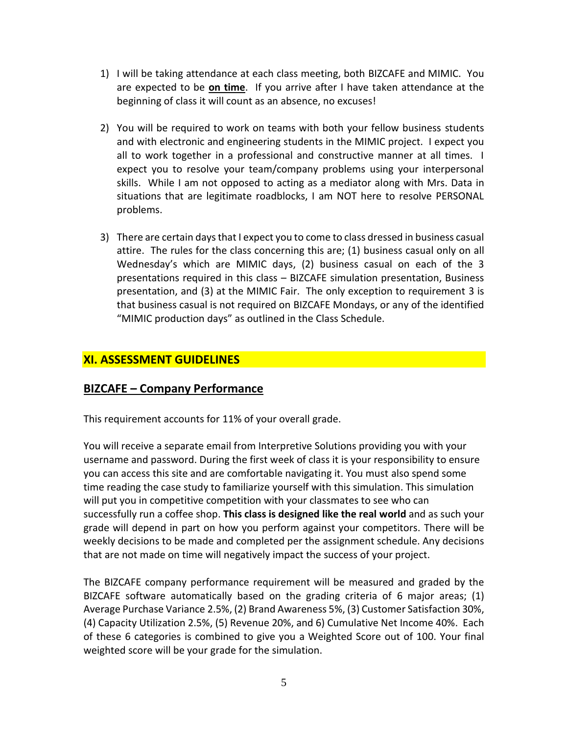- 1) I will be taking attendance at each class meeting, both BIZCAFE and MIMIC. You are expected to be **on time**. If you arrive after I have taken attendance at the beginning of class it will count as an absence, no excuses!
- 2) You will be required to work on teams with both your fellow business students and with electronic and engineering students in the MIMIC project. I expect you all to work together in a professional and constructive manner at all times. I expect you to resolve your team/company problems using your interpersonal skills. While I am not opposed to acting as a mediator along with Mrs. Data in situations that are legitimate roadblocks, I am NOT here to resolve PERSONAL problems.
- 3) There are certain days that I expect you to come to class dressed in business casual attire. The rules for the class concerning this are; (1) business casual only on all Wednesday's which are MIMIC days, (2) business casual on each of the 3 presentations required in this class – BIZCAFE simulation presentation, Business presentation, and (3) at the MIMIC Fair. The only exception to requirement 3 is that business casual is not required on BIZCAFE Mondays, or any of the identified "MIMIC production days" as outlined in the Class Schedule.

## **XI. ASSESSMENT GUIDELINES**

## **BIZCAFE – Company Performance**

This requirement accounts for 11% of your overall grade.

You will receive a separate email from Interpretive Solutions providing you with your username and password. During the first week of class it is your responsibility to ensure you can access this site and are comfortable navigating it. You must also spend some time reading the case study to familiarize yourself with this simulation. This simulation will put you in competitive competition with your classmates to see who can successfully run a coffee shop. **This class is designed like the real world** and as such your grade will depend in part on how you perform against your competitors. There will be weekly decisions to be made and completed per the assignment schedule. Any decisions that are not made on time will negatively impact the success of your project.

The BIZCAFE company performance requirement will be measured and graded by the BIZCAFE software automatically based on the grading criteria of 6 major areas; (1) Average Purchase Variance 2.5%, (2) Brand Awareness 5%, (3) Customer Satisfaction 30%, (4) Capacity Utilization 2.5%, (5) Revenue 20%, and 6) Cumulative Net Income 40%. Each of these 6 categories is combined to give you a Weighted Score out of 100. Your final weighted score will be your grade for the simulation.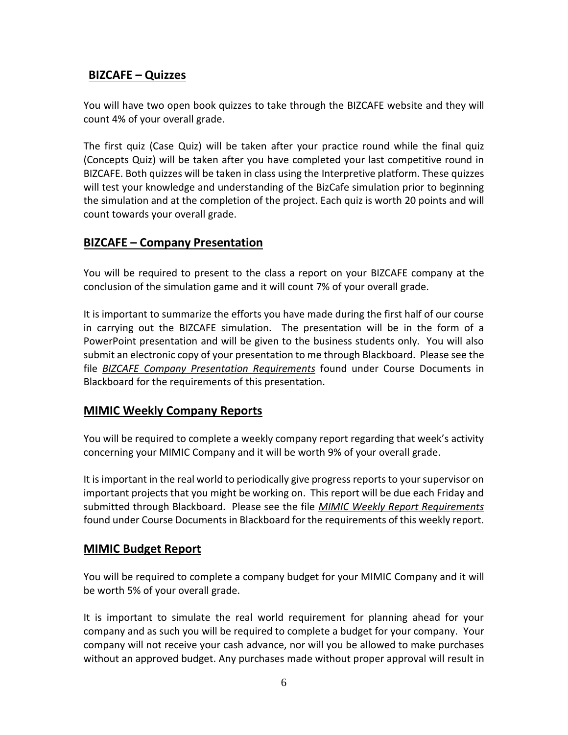# **BIZCAFE – Quizzes**

You will have two open book quizzes to take through the BIZCAFE website and they will count 4% of your overall grade.

The first quiz (Case Quiz) will be taken after your practice round while the final quiz (Concepts Quiz) will be taken after you have completed your last competitive round in BIZCAFE. Both quizzes will be taken in class using the Interpretive platform. These quizzes will test your knowledge and understanding of the BizCafe simulation prior to beginning the simulation and at the completion of the project. Each quiz is worth 20 points and will count towards your overall grade.

## **BIZCAFE – Company Presentation**

You will be required to present to the class a report on your BIZCAFE company at the conclusion of the simulation game and it will count 7% of your overall grade.

It is important to summarize the efforts you have made during the first half of our course in carrying out the BIZCAFE simulation. The presentation will be in the form of a PowerPoint presentation and will be given to the business students only. You will also submit an electronic copy of your presentation to me through Blackboard. Please see the file *BIZCAFE Company Presentation Requirements* found under Course Documents in Blackboard for the requirements of this presentation.

## **MIMIC Weekly Company Reports**

You will be required to complete a weekly company report regarding that week's activity concerning your MIMIC Company and it will be worth 9% of your overall grade.

It is important in the real world to periodically give progress reports to your supervisor on important projects that you might be working on. This report will be due each Friday and submitted through Blackboard. Please see the file *MIMIC Weekly Report Requirements* found under Course Documents in Blackboard for the requirements of this weekly report.

## **MIMIC Budget Report**

You will be required to complete a company budget for your MIMIC Company and it will be worth 5% of your overall grade.

It is important to simulate the real world requirement for planning ahead for your company and as such you will be required to complete a budget for your company. Your company will not receive your cash advance, nor will you be allowed to make purchases without an approved budget. Any purchases made without proper approval will result in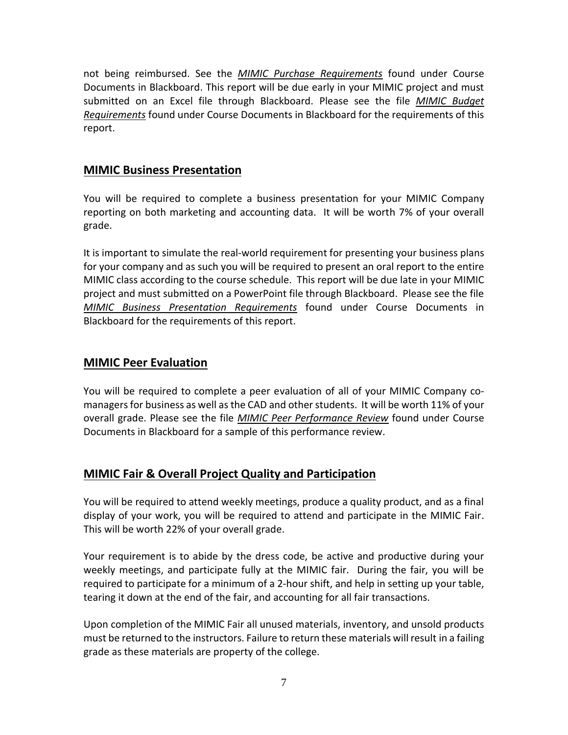not being reimbursed. See the *MIMIC Purchase Requirements* found under Course Documents in Blackboard. This report will be due early in your MIMIC project and must submitted on an Excel file through Blackboard. Please see the file *MIMIC Budget Requirements* found under Course Documents in Blackboard for the requirements of this report.

## **MIMIC Business Presentation**

You will be required to complete a business presentation for your MIMIC Company reporting on both marketing and accounting data. It will be worth 7% of your overall grade.

It is important to simulate the real-world requirement for presenting your business plans for your company and as such you will be required to present an oral report to the entire MIMIC class according to the course schedule. This report will be due late in your MIMIC project and must submitted on a PowerPoint file through Blackboard. Please see the file *MIMIC Business Presentation Requirements* found under Course Documents in Blackboard for the requirements of this report.

# **MIMIC Peer Evaluation**

You will be required to complete a peer evaluation of all of your MIMIC Company comanagers for business as well as the CAD and other students. It will be worth 11% of your overall grade. Please see the file *MIMIC Peer Performance Review* found under Course Documents in Blackboard for a sample of this performance review.

# **MIMIC Fair & Overall Project Quality and Participation**

You will be required to attend weekly meetings, produce a quality product, and as a final display of your work, you will be required to attend and participate in the MIMIC Fair. This will be worth 22% of your overall grade.

Your requirement is to abide by the dress code, be active and productive during your weekly meetings, and participate fully at the MIMIC fair. During the fair, you will be required to participate for a minimum of a 2-hour shift, and help in setting up your table, tearing it down at the end of the fair, and accounting for all fair transactions.

Upon completion of the MIMIC Fair all unused materials, inventory, and unsold products must be returned to the instructors. Failure to return these materials will result in a failing grade as these materials are property of the college.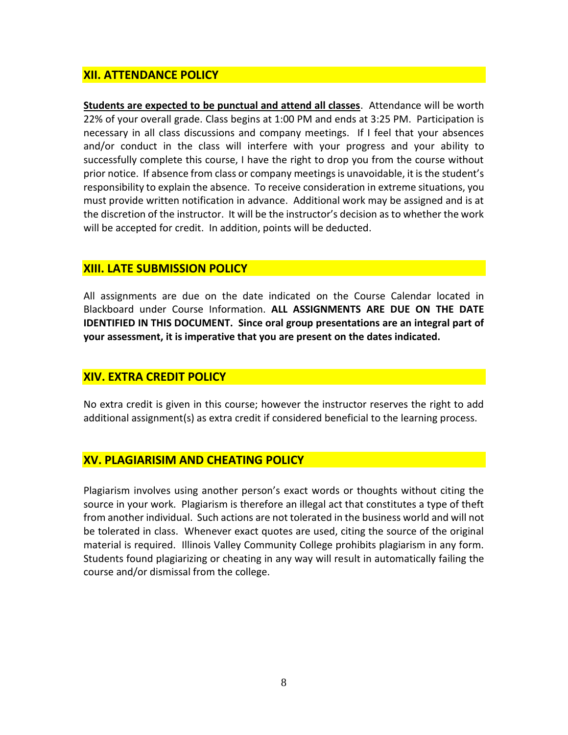## **XII. ATTENDANCE POLICY**

**Students are expected to be punctual and attend all classes**. Attendance will be worth 22% of your overall grade. Class begins at 1:00 PM and ends at 3:25 PM. Participation is necessary in all class discussions and company meetings. If I feel that your absences and/or conduct in the class will interfere with your progress and your ability to successfully complete this course, I have the right to drop you from the course without prior notice. If absence from class or company meetings is unavoidable, it is the student's responsibility to explain the absence. To receive consideration in extreme situations, you must provide written notification in advance. Additional work may be assigned and is at the discretion of the instructor. It will be the instructor's decision as to whether the work will be accepted for credit. In addition, points will be deducted.

## **XIII. LATE SUBMISSION POLICY**

All assignments are due on the date indicated on the Course Calendar located in Blackboard under Course Information. **ALL ASSIGNMENTS ARE DUE ON THE DATE IDENTIFIED IN THIS DOCUMENT. Since oral group presentations are an integral part of your assessment, it is imperative that you are present on the dates indicated.**

## **XIV. EXTRA CREDIT POLICY**

No extra credit is given in this course; however the instructor reserves the right to add additional assignment(s) as extra credit if considered beneficial to the learning process.

## **XV. PLAGIARISIM AND CHEATING POLICY**

Plagiarism involves using another person's exact words or thoughts without citing the source in your work. Plagiarism is therefore an illegal act that constitutes a type of theft from another individual. Such actions are not tolerated in the business world and will not be tolerated in class. Whenever exact quotes are used, citing the source of the original material is required. Illinois Valley Community College prohibits plagiarism in any form. Students found plagiarizing or cheating in any way will result in automatically failing the course and/or dismissal from the college.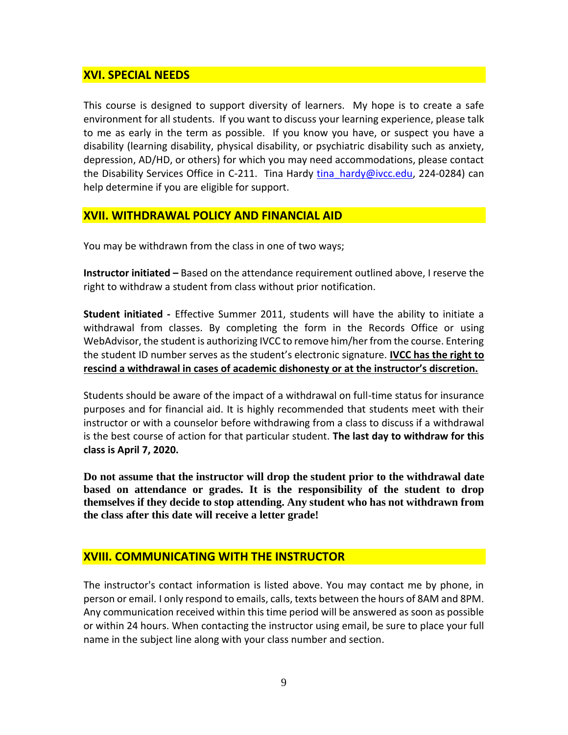## **XVI. SPECIAL NEEDS**

This course is designed to support diversity of learners. My hope is to create a safe environment for all students. If you want to discuss your learning experience, please talk to me as early in the term as possible. If you know you have, or suspect you have a disability (learning disability, physical disability, or psychiatric disability such as anxiety, depression, AD/HD, or others) for which you may need accommodations, please contact the Disability Services Office in C-211. Tina Hardy [tina\\_hardy@ivcc.edu,](mailto:tina_hardy@ivcc.edu) 224-0284) can help determine if you are eligible for support.

## **XVII. WITHDRAWAL POLICY AND FINANCIAL AID**

You may be withdrawn from the class in one of two ways;

**Instructor initiated –** Based on the attendance requirement outlined above, I reserve the right to withdraw a student from class without prior notification.

**Student initiated -** Effective Summer 2011, students will have the ability to initiate a withdrawal from classes. By completing the form in the Records Office or using WebAdvisor, the student is authorizing IVCC to remove him/her from the course. Entering the student ID number serves as the student's electronic signature. **IVCC has the right to rescind a withdrawal in cases of academic dishonesty or at the instructor's discretion.**

Students should be aware of the impact of a withdrawal on full-time status for insurance purposes and for financial aid. It is highly recommended that students meet with their instructor or with a counselor before withdrawing from a class to discuss if a withdrawal is the best course of action for that particular student. **The last day to withdraw for this class is April 7, 2020.** 

**Do not assume that the instructor will drop the student prior to the withdrawal date based on attendance or grades. It is the responsibility of the student to drop themselves if they decide to stop attending. Any student who has not withdrawn from the class after this date will receive a letter grade!**

## **XVIII. COMMUNICATING WITH THE INSTRUCTOR**

The instructor's contact information is listed above. You may contact me by phone, in person or email. I only respond to emails, calls, texts between the hours of 8AM and 8PM. Any communication received within this time period will be answered as soon as possible or within 24 hours. When contacting the instructor using email, be sure to place your full name in the subject line along with your class number and section.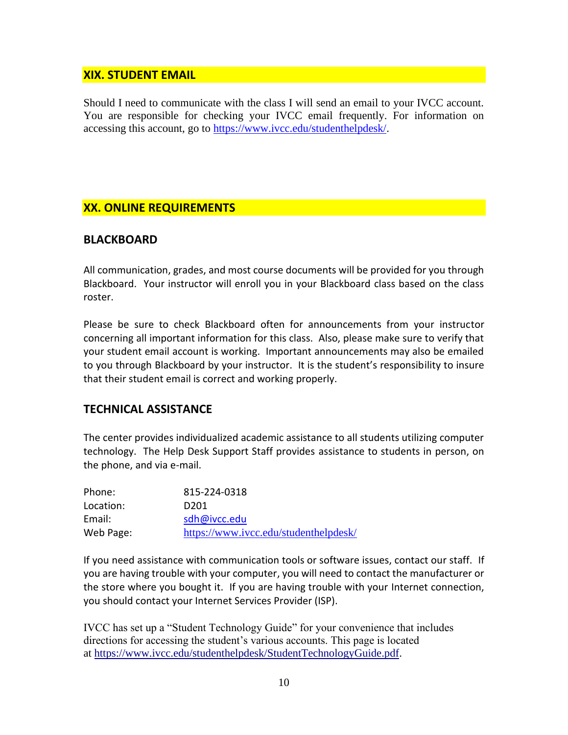#### **XIX. STUDENT EMAIL**

Should I need to communicate with the class I will send an email to your IVCC account. You are responsible for checking your IVCC email frequently. For information on accessing this account, go to [https://www.ivcc.edu/studenthelpdesk/.](https://www.ivcc.edu/studenthelpdesk/)

## **XX. ONLINE REQUIREMENTS**

## **BLACKBOARD**

All communication, grades, and most course documents will be provided for you through Blackboard. Your instructor will enroll you in your Blackboard class based on the class roster.

Please be sure to check Blackboard often for announcements from your instructor concerning all important information for this class. Also, please make sure to verify that your student email account is working. Important announcements may also be emailed to you through Blackboard by your instructor. It is the student's responsibility to insure that their student email is correct and working properly.

## **TECHNICAL ASSISTANCE**

The center provides individualized academic assistance to all students utilizing computer technology. The Help Desk Support Staff provides assistance to students in person, on the phone, and via e-mail.

| Phone:    | 815-224-0318                          |
|-----------|---------------------------------------|
| Location: | D <sub>201</sub>                      |
| Email:    | sdh@ivcc.edu                          |
| Web Page: | https://www.ivcc.edu/studenthelpdesk/ |

If you need assistance with communication tools or software issues, contact our staff. If you are having trouble with your computer, you will need to contact the manufacturer or the store where you bought it. If you are having trouble with your Internet connection, you should contact your Internet Services Provider (ISP).

IVCC has set up a "Student Technology Guide" for your convenience that includes directions for accessing the student's various accounts. This page is located at [https://www.ivcc.edu/studenthelpdesk/StudentTechnologyGuide.pdf.](https://www.ivcc.edu/studenthelpdesk/StudentTechnologyGuide.pdf)